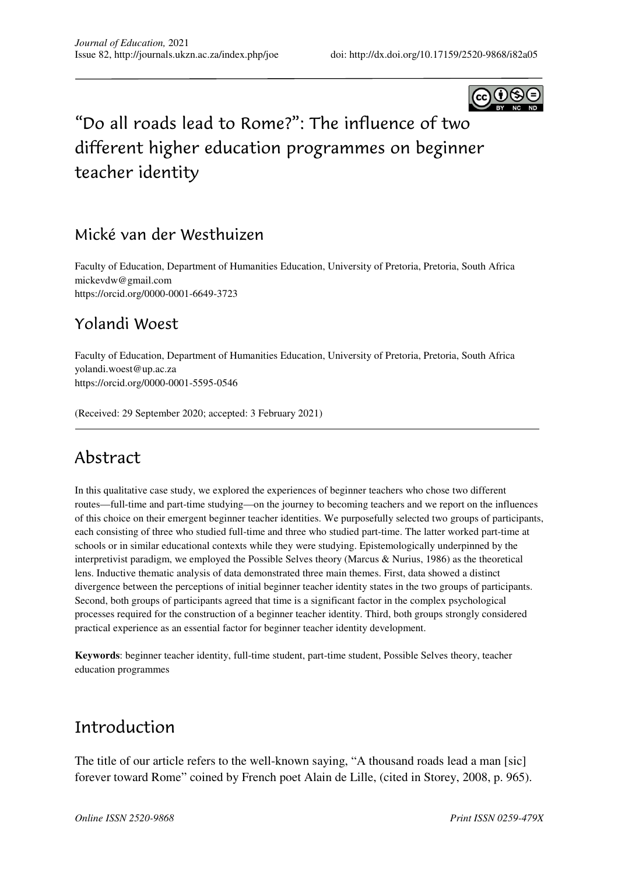

# "Do all roads lead to Rome?": The influence of two different higher education programmes on beginner teacher identity

### Mické van der Westhuizen

Faculty of Education, Department of Humanities Education, University of Pretoria, Pretoria, South Africa mickevdw@gmail.com https://orcid.org/0000-0001-6649-3723

### Yolandi Woest

Faculty of Education, Department of Humanities Education, University of Pretoria, Pretoria, South Africa yolandi.woest@up.ac.za https://orcid.org/0000-0001-5595-0546

(Received: 29 September 2020; accepted: 3 February 2021)

## Abstract

In this qualitative case study, we explored the experiences of beginner teachers who chose two different routes—full-time and part-time studying—on the journey to becoming teachers and we report on the influences of this choice on their emergent beginner teacher identities. We purposefully selected two groups of participants, each consisting of three who studied full-time and three who studied part-time. The latter worked part-time at schools or in similar educational contexts while they were studying. Epistemologically underpinned by the interpretivist paradigm, we employed the Possible Selves theory (Marcus & Nurius, 1986) as the theoretical lens. Inductive thematic analysis of data demonstrated three main themes. First, data showed a distinct divergence between the perceptions of initial beginner teacher identity states in the two groups of participants. Second, both groups of participants agreed that time is a significant factor in the complex psychological processes required for the construction of a beginner teacher identity. Third, both groups strongly considered practical experience as an essential factor for beginner teacher identity development.

**Keywords**: beginner teacher identity, full-time student, part-time student, Possible Selves theory, teacher education programmes

### Introduction

The title of our article refers to the well-known saying, "A thousand roads lead a man [sic] forever toward Rome" coined by French poet Alain de Lille, (cited in Storey, 2008, p. 965).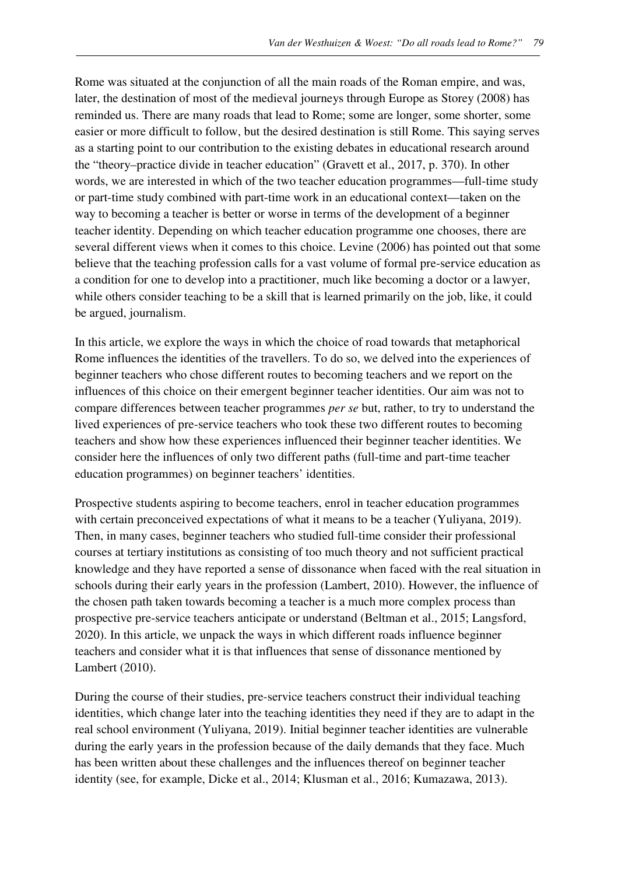Rome was situated at the conjunction of all the main roads of the Roman empire, and was, later, the destination of most of the medieval journeys through Europe as Storey (2008) has reminded us. There are many roads that lead to Rome; some are longer, some shorter, some easier or more difficult to follow, but the desired destination is still Rome. This saying serves as a starting point to our contribution to the existing debates in educational research around the "theory–practice divide in teacher education" (Gravett et al., 2017, p. 370). In other words, we are interested in which of the two teacher education programmes—full-time study or part-time study combined with part-time work in an educational context—taken on the way to becoming a teacher is better or worse in terms of the development of a beginner teacher identity. Depending on which teacher education programme one chooses, there are several different views when it comes to this choice. Levine (2006) has pointed out that some believe that the teaching profession calls for a vast volume of formal pre-service education as a condition for one to develop into a practitioner, much like becoming a doctor or a lawyer, while others consider teaching to be a skill that is learned primarily on the job, like, it could be argued, journalism.

In this article, we explore the ways in which the choice of road towards that metaphorical Rome influences the identities of the travellers. To do so, we delved into the experiences of beginner teachers who chose different routes to becoming teachers and we report on the influences of this choice on their emergent beginner teacher identities. Our aim was not to compare differences between teacher programmes *per se* but, rather, to try to understand the lived experiences of pre-service teachers who took these two different routes to becoming teachers and show how these experiences influenced their beginner teacher identities. We consider here the influences of only two different paths (full-time and part-time teacher education programmes) on beginner teachers' identities.

Prospective students aspiring to become teachers, enrol in teacher education programmes with certain preconceived expectations of what it means to be a teacher (Yuliyana, 2019). Then, in many cases, beginner teachers who studied full-time consider their professional courses at tertiary institutions as consisting of too much theory and not sufficient practical knowledge and they have reported a sense of dissonance when faced with the real situation in schools during their early years in the profession (Lambert, 2010). However, the influence of the chosen path taken towards becoming a teacher is a much more complex process than prospective pre-service teachers anticipate or understand (Beltman et al., 2015; Langsford, 2020). In this article, we unpack the ways in which different roads influence beginner teachers and consider what it is that influences that sense of dissonance mentioned by Lambert (2010).

During the course of their studies, pre-service teachers construct their individual teaching identities, which change later into the teaching identities they need if they are to adapt in the real school environment (Yuliyana, 2019). Initial beginner teacher identities are vulnerable during the early years in the profession because of the daily demands that they face. Much has been written about these challenges and the influences thereof on beginner teacher identity (see, for example, Dicke et al., 2014; Klusman et al., 2016; Kumazawa, 2013).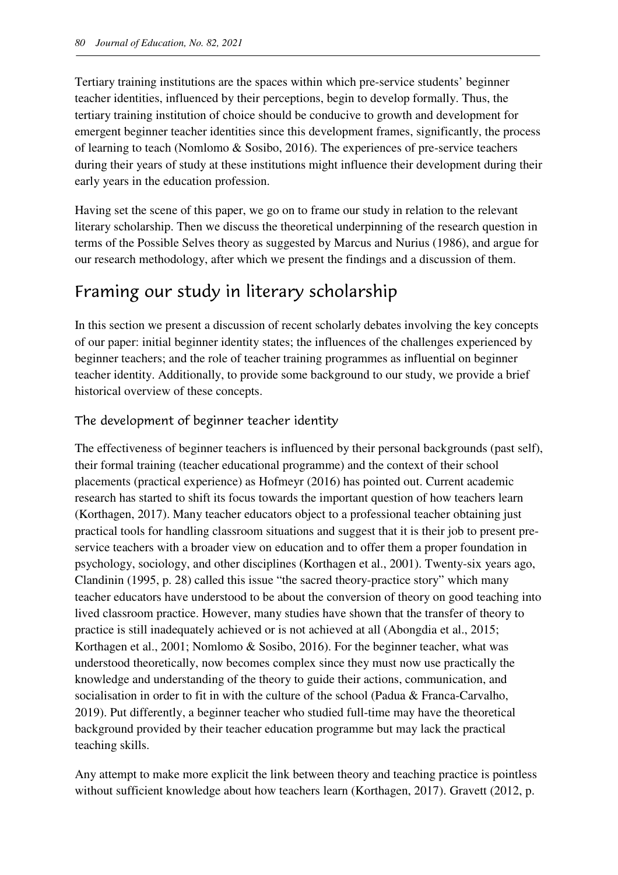Tertiary training institutions are the spaces within which pre-service students' beginner teacher identities, influenced by their perceptions, begin to develop formally. Thus, the tertiary training institution of choice should be conducive to growth and development for emergent beginner teacher identities since this development frames, significantly, the process of learning to teach (Nomlomo & Sosibo, 2016). The experiences of pre-service teachers during their years of study at these institutions might influence their development during their early years in the education profession.

Having set the scene of this paper, we go on to frame our study in relation to the relevant literary scholarship. Then we discuss the theoretical underpinning of the research question in terms of the Possible Selves theory as suggested by Marcus and Nurius (1986), and argue for our research methodology, after which we present the findings and a discussion of them.

## Framing our study in literary scholarship

In this section we present a discussion of recent scholarly debates involving the key concepts of our paper: initial beginner identity states; the influences of the challenges experienced by beginner teachers; and the role of teacher training programmes as influential on beginner teacher identity. Additionally, to provide some background to our study, we provide a brief historical overview of these concepts.

#### The development of beginner teacher identity

The effectiveness of beginner teachers is influenced by their personal backgrounds (past self), their formal training (teacher educational programme) and the context of their school placements (practical experience) as Hofmeyr (2016) has pointed out. Current academic research has started to shift its focus towards the important question of how teachers learn (Korthagen, 2017). Many teacher educators object to a professional teacher obtaining just practical tools for handling classroom situations and suggest that it is their job to present preservice teachers with a broader view on education and to offer them a proper foundation in psychology, sociology, and other disciplines (Korthagen et al., 2001). Twenty-six years ago, Clandinin (1995, p. 28) called this issue "the sacred theory-practice story" which many teacher educators have understood to be about the conversion of theory on good teaching into lived classroom practice. However, many studies have shown that the transfer of theory to practice is still inadequately achieved or is not achieved at all (Abongdia et al., 2015; Korthagen et al., 2001; Nomlomo & Sosibo, 2016). For the beginner teacher, what was understood theoretically, now becomes complex since they must now use practically the knowledge and understanding of the theory to guide their actions, communication, and socialisation in order to fit in with the culture of the school (Padua & Franca-Carvalho, 2019). Put differently, a beginner teacher who studied full-time may have the theoretical background provided by their teacher education programme but may lack the practical teaching skills.

Any attempt to make more explicit the link between theory and teaching practice is pointless without sufficient knowledge about how teachers learn (Korthagen, 2017). Gravett (2012, p.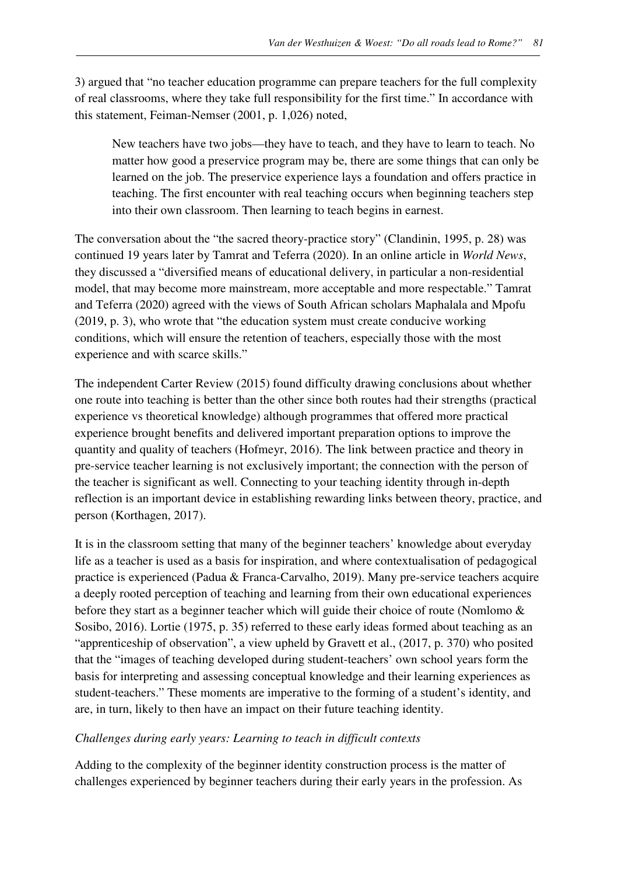3) argued that "no teacher education programme can prepare teachers for the full complexity of real classrooms, where they take full responsibility for the first time." In accordance with this statement, Feiman-Nemser (2001, p. 1,026) noted,

New teachers have two jobs—they have to teach, and they have to learn to teach. No matter how good a preservice program may be, there are some things that can only be learned on the job. The preservice experience lays a foundation and offers practice in teaching. The first encounter with real teaching occurs when beginning teachers step into their own classroom. Then learning to teach begins in earnest.

The conversation about the "the sacred theory-practice story" (Clandinin, 1995, p. 28) was continued 19 years later by Tamrat and Teferra (2020). In an online article in *World News*, they discussed a "diversified means of educational delivery, in particular a non-residential model, that may become more mainstream, more acceptable and more respectable." Tamrat and Teferra (2020) agreed with the views of South African scholars Maphalala and Mpofu (2019, p. 3), who wrote that "the education system must create conducive working conditions, which will ensure the retention of teachers, especially those with the most experience and with scarce skills."

The independent Carter Review (2015) found difficulty drawing conclusions about whether one route into teaching is better than the other since both routes had their strengths (practical experience vs theoretical knowledge) although programmes that offered more practical experience brought benefits and delivered important preparation options to improve the quantity and quality of teachers (Hofmeyr, 2016). The link between practice and theory in pre-service teacher learning is not exclusively important; the connection with the person of the teacher is significant as well. Connecting to your teaching identity through in-depth reflection is an important device in establishing rewarding links between theory, practice, and person (Korthagen, 2017).

It is in the classroom setting that many of the beginner teachers' knowledge about everyday life as a teacher is used as a basis for inspiration, and where contextualisation of pedagogical practice is experienced (Padua & Franca-Carvalho, 2019). Many pre-service teachers acquire a deeply rooted perception of teaching and learning from their own educational experiences before they start as a beginner teacher which will guide their choice of route (Nomlomo & Sosibo, 2016). Lortie (1975, p. 35) referred to these early ideas formed about teaching as an "apprenticeship of observation", a view upheld by Gravett et al., (2017, p. 370) who posited that the "images of teaching developed during student-teachers' own school years form the basis for interpreting and assessing conceptual knowledge and their learning experiences as student-teachers." These moments are imperative to the forming of a student's identity, and are, in turn, likely to then have an impact on their future teaching identity.

#### *Challenges during early years: Learning to teach in difficult contexts*

Adding to the complexity of the beginner identity construction process is the matter of challenges experienced by beginner teachers during their early years in the profession. As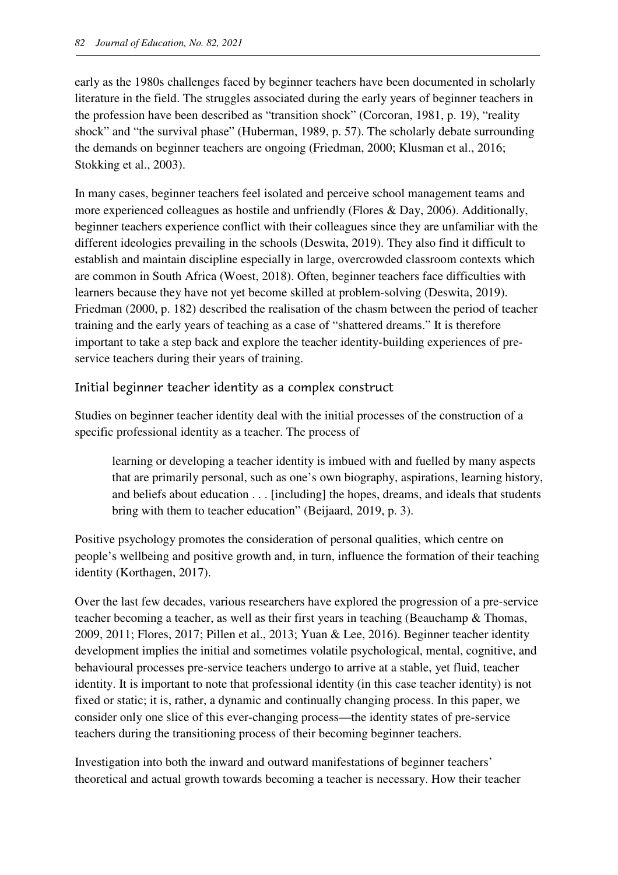early as the 1980s challenges faced by beginner teachers have been documented in scholarly literature in the field. The struggles associated during the early years of beginner teachers in the profession have been described as "transition shock" (Corcoran, 1981, p. 19), "reality shock" and "the survival phase" (Huberman, 1989, p. 57). The scholarly debate surrounding the demands on beginner teachers are ongoing (Friedman, 2000; Klusman et al., 2016; Stokking et al., 2003).

In many cases, beginner teachers feel isolated and perceive school management teams and more experienced colleagues as hostile and unfriendly (Flores & Day, 2006). Additionally, beginner teachers experience conflict with their colleagues since they are unfamiliar with the different ideologies prevailing in the schools (Deswita, 2019). They also find it difficult to establish and maintain discipline especially in large, overcrowded classroom contexts which are common in South Africa (Woest, 2018). Often, beginner teachers face difficulties with learners because they have not yet become skilled at problem-solving (Deswita, 2019). Friedman (2000, p. 182) described the realisation of the chasm between the period of teacher training and the early years of teaching as a case of "shattered dreams." It is therefore important to take a step back and explore the teacher identity-building experiences of preservice teachers during their years of training.

Initial beginner teacher identity as a complex construct

Studies on beginner teacher identity deal with the initial processes of the construction of a specific professional identity as a teacher. The process of

learning or developing a teacher identity is imbued with and fuelled by many aspects that are primarily personal, such as one's own biography, aspirations, learning history, and beliefs about education . . . [including] the hopes, dreams, and ideals that students bring with them to teacher education" (Beijaard, 2019, p. 3).

Positive psychology promotes the consideration of personal qualities, which centre on people's wellbeing and positive growth and, in turn, influence the formation of their teaching identity (Korthagen, 2017).

Over the last few decades, various researchers have explored the progression of a pre-service teacher becoming a teacher, as well as their first years in teaching (Beauchamp & Thomas, 2009, 2011; Flores, 2017; Pillen et al., 2013; Yuan & Lee, 2016). Beginner teacher identity development implies the initial and sometimes volatile psychological, mental, cognitive, and behavioural processes pre-service teachers undergo to arrive at a stable, yet fluid, teacher identity. It is important to note that professional identity (in this case teacher identity) is not fixed or static; it is, rather, a dynamic and continually changing process. In this paper, we consider only one slice of this ever-changing process—the identity states of pre-service teachers during the transitioning process of their becoming beginner teachers.

Investigation into both the inward and outward manifestations of beginner teachers' theoretical and actual growth towards becoming a teacher is necessary. How their teacher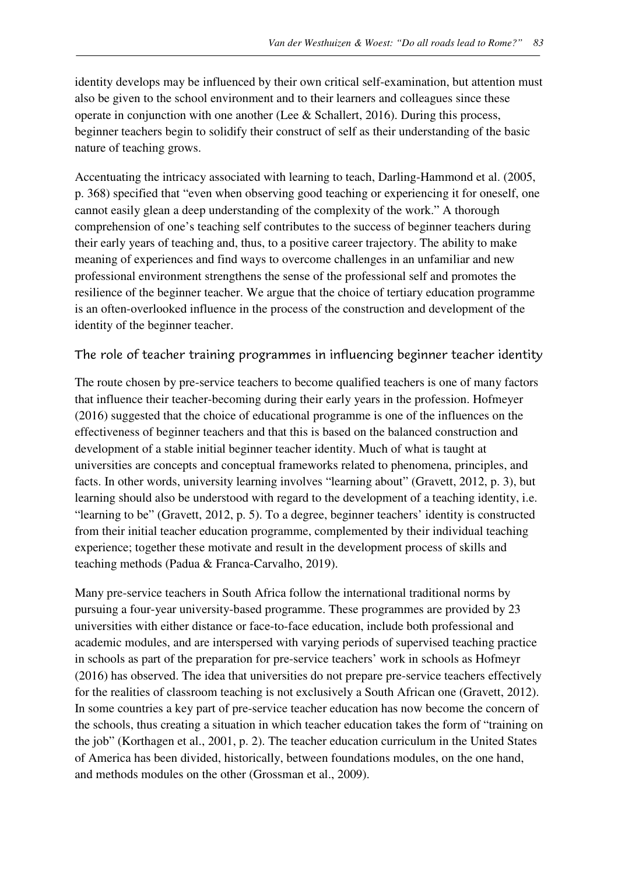identity develops may be influenced by their own critical self-examination, but attention must also be given to the school environment and to their learners and colleagues since these operate in conjunction with one another (Lee & Schallert, 2016). During this process, beginner teachers begin to solidify their construct of self as their understanding of the basic nature of teaching grows.

Accentuating the intricacy associated with learning to teach, Darling-Hammond et al. (2005, p. 368) specified that "even when observing good teaching or experiencing it for oneself, one cannot easily glean a deep understanding of the complexity of the work." A thorough comprehension of one's teaching self contributes to the success of beginner teachers during their early years of teaching and, thus, to a positive career trajectory. The ability to make meaning of experiences and find ways to overcome challenges in an unfamiliar and new professional environment strengthens the sense of the professional self and promotes the resilience of the beginner teacher. We argue that the choice of tertiary education programme is an often-overlooked influence in the process of the construction and development of the identity of the beginner teacher.

#### The role of teacher training programmes in influencing beginner teacher identity

The route chosen by pre-service teachers to become qualified teachers is one of many factors that influence their teacher-becoming during their early years in the profession. Hofmeyer (2016) suggested that the choice of educational programme is one of the influences on the effectiveness of beginner teachers and that this is based on the balanced construction and development of a stable initial beginner teacher identity. Much of what is taught at universities are concepts and conceptual frameworks related to phenomena, principles, and facts. In other words, university learning involves "learning about" (Gravett, 2012, p. 3), but learning should also be understood with regard to the development of a teaching identity, i.e. "learning to be" (Gravett, 2012, p. 5). To a degree, beginner teachers' identity is constructed from their initial teacher education programme, complemented by their individual teaching experience; together these motivate and result in the development process of skills and teaching methods (Padua & Franca-Carvalho, 2019).

Many pre-service teachers in South Africa follow the international traditional norms by pursuing a four-year university-based programme. These programmes are provided by 23 universities with either distance or face-to-face education, include both professional and academic modules, and are interspersed with varying periods of supervised teaching practice in schools as part of the preparation for pre-service teachers' work in schools as Hofmeyr (2016) has observed. The idea that universities do not prepare pre-service teachers effectively for the realities of classroom teaching is not exclusively a South African one (Gravett, 2012). In some countries a key part of pre-service teacher education has now become the concern of the schools, thus creating a situation in which teacher education takes the form of "training on the job" (Korthagen et al., 2001, p. 2). The teacher education curriculum in the United States of America has been divided, historically, between foundations modules, on the one hand, and methods modules on the other (Grossman et al., 2009).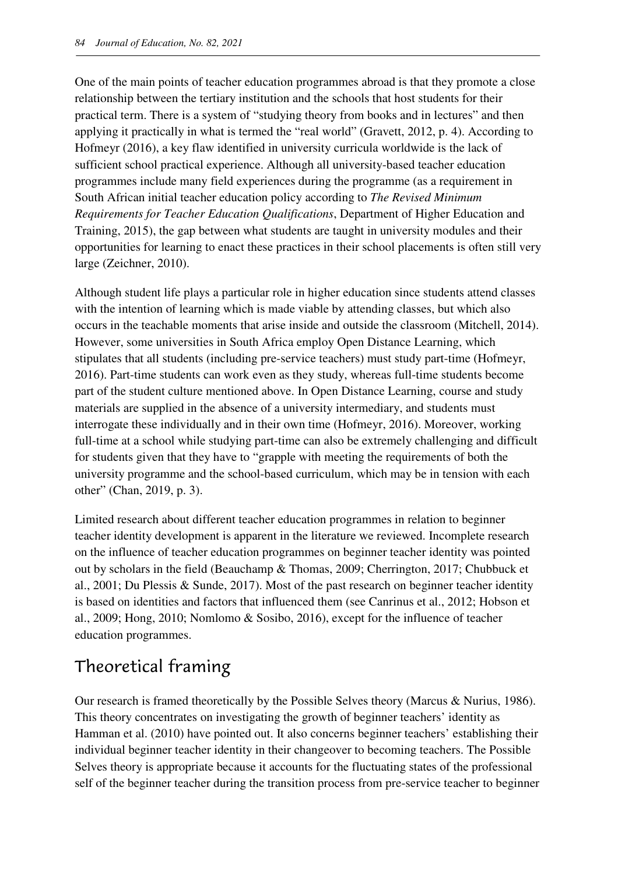One of the main points of teacher education programmes abroad is that they promote a close relationship between the tertiary institution and the schools that host students for their practical term. There is a system of "studying theory from books and in lectures" and then applying it practically in what is termed the "real world" (Gravett, 2012, p. 4). According to Hofmeyr (2016), a key flaw identified in university curricula worldwide is the lack of sufficient school practical experience. Although all university-based teacher education programmes include many field experiences during the programme (as a requirement in South African initial teacher education policy according to *The Revised Minimum Requirements for Teacher Education Qualifications*, Department of Higher Education and Training, 2015), the gap between what students are taught in university modules and their opportunities for learning to enact these practices in their school placements is often still very large (Zeichner, 2010).

Although student life plays a particular role in higher education since students attend classes with the intention of learning which is made viable by attending classes, but which also occurs in the teachable moments that arise inside and outside the classroom (Mitchell, 2014). However, some universities in South Africa employ Open Distance Learning, which stipulates that all students (including pre-service teachers) must study part-time (Hofmeyr, 2016). Part-time students can work even as they study, whereas full-time students become part of the student culture mentioned above. In Open Distance Learning, course and study materials are supplied in the absence of a university intermediary, and students must interrogate these individually and in their own time (Hofmeyr, 2016). Moreover, working full-time at a school while studying part-time can also be extremely challenging and difficult for students given that they have to "grapple with meeting the requirements of both the university programme and the school-based curriculum, which may be in tension with each other" (Chan, 2019, p. 3).

Limited research about different teacher education programmes in relation to beginner teacher identity development is apparent in the literature we reviewed. Incomplete research on the influence of teacher education programmes on beginner teacher identity was pointed out by scholars in the field (Beauchamp & Thomas, 2009; Cherrington, 2017; Chubbuck et al., 2001; Du Plessis & Sunde, 2017). Most of the past research on beginner teacher identity is based on identities and factors that influenced them (see Canrinus et al., 2012; Hobson et al., 2009; Hong, 2010; Nomlomo & Sosibo, 2016), except for the influence of teacher education programmes.

## Theoretical framing

Our research is framed theoretically by the Possible Selves theory (Marcus & Nurius, 1986). This theory concentrates on investigating the growth of beginner teachers' identity as Hamman et al. (2010) have pointed out. It also concerns beginner teachers' establishing their individual beginner teacher identity in their changeover to becoming teachers. The Possible Selves theory is appropriate because it accounts for the fluctuating states of the professional self of the beginner teacher during the transition process from pre-service teacher to beginner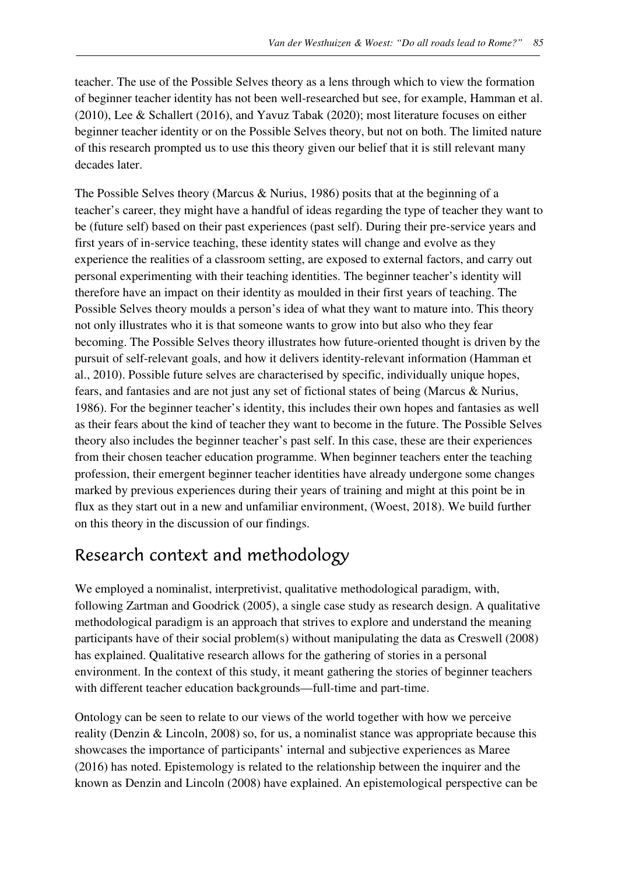teacher. The use of the Possible Selves theory as a lens through which to view the formation of beginner teacher identity has not been well-researched but see, for example, Hamman et al. (2010), Lee & Schallert (2016), and Yavuz Tabak (2020); most literature focuses on either beginner teacher identity or on the Possible Selves theory, but not on both. The limited nature of this research prompted us to use this theory given our belief that it is still relevant many decades later.

The Possible Selves theory (Marcus & Nurius, 1986) posits that at the beginning of a teacher's career, they might have a handful of ideas regarding the type of teacher they want to be (future self) based on their past experiences (past self). During their pre-service years and first years of in-service teaching, these identity states will change and evolve as they experience the realities of a classroom setting, are exposed to external factors, and carry out personal experimenting with their teaching identities. The beginner teacher's identity will therefore have an impact on their identity as moulded in their first years of teaching. The Possible Selves theory moulds a person's idea of what they want to mature into. This theory not only illustrates who it is that someone wants to grow into but also who they fear becoming. The Possible Selves theory illustrates how future-oriented thought is driven by the pursuit of self-relevant goals, and how it delivers identity-relevant information (Hamman et al., 2010). Possible future selves are characterised by specific, individually unique hopes, fears, and fantasies and are not just any set of fictional states of being (Marcus & Nurius, 1986). For the beginner teacher's identity, this includes their own hopes and fantasies as well as their fears about the kind of teacher they want to become in the future. The Possible Selves theory also includes the beginner teacher's past self. In this case, these are their experiences from their chosen teacher education programme. When beginner teachers enter the teaching profession, their emergent beginner teacher identities have already undergone some changes marked by previous experiences during their years of training and might at this point be in flux as they start out in a new and unfamiliar environment, (Woest, 2018). We build further on this theory in the discussion of our findings.

## Research context and methodology

We employed a nominalist, interpretivist, qualitative methodological paradigm, with, following Zartman and Goodrick (2005), a single case study as research design. A qualitative methodological paradigm is an approach that strives to explore and understand the meaning participants have of their social problem(s) without manipulating the data as Creswell (2008) has explained. Qualitative research allows for the gathering of stories in a personal environment. In the context of this study, it meant gathering the stories of beginner teachers with different teacher education backgrounds—full-time and part-time.

Ontology can be seen to relate to our views of the world together with how we perceive reality (Denzin & Lincoln, 2008) so, for us, a nominalist stance was appropriate because this showcases the importance of participants' internal and subjective experiences as Maree (2016) has noted. Epistemology is related to the relationship between the inquirer and the known as Denzin and Lincoln (2008) have explained. An epistemological perspective can be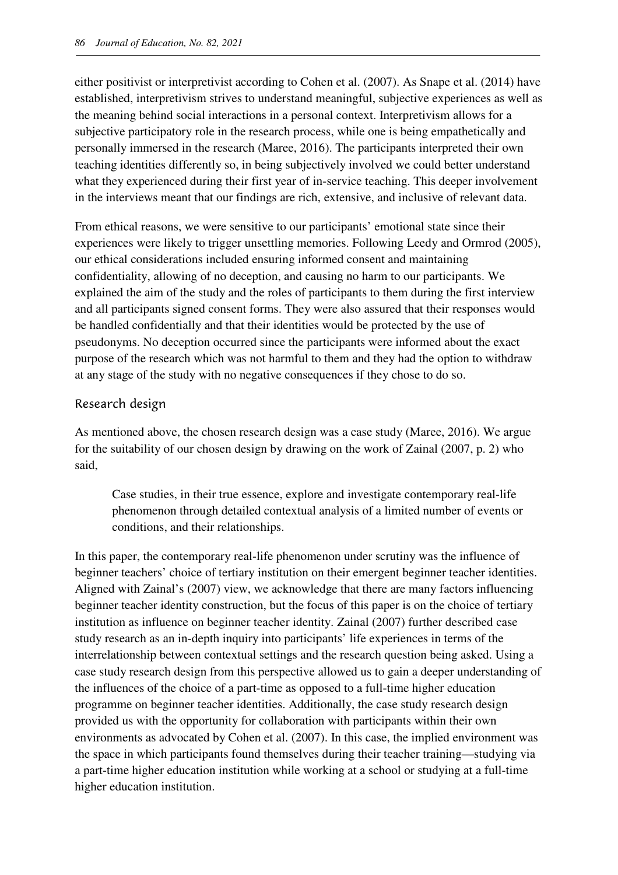either positivist or interpretivist according to Cohen et al. (2007). As Snape et al. (2014) have established, interpretivism strives to understand meaningful, subjective experiences as well as the meaning behind social interactions in a personal context. Interpretivism allows for a subjective participatory role in the research process, while one is being empathetically and personally immersed in the research (Maree, 2016). The participants interpreted their own teaching identities differently so, in being subjectively involved we could better understand what they experienced during their first year of in-service teaching. This deeper involvement in the interviews meant that our findings are rich, extensive, and inclusive of relevant data.

From ethical reasons, we were sensitive to our participants' emotional state since their experiences were likely to trigger unsettling memories. Following Leedy and Ormrod (2005), our ethical considerations included ensuring informed consent and maintaining confidentiality, allowing of no deception, and causing no harm to our participants. We explained the aim of the study and the roles of participants to them during the first interview and all participants signed consent forms. They were also assured that their responses would be handled confidentially and that their identities would be protected by the use of pseudonyms. No deception occurred since the participants were informed about the exact purpose of the research which was not harmful to them and they had the option to withdraw at any stage of the study with no negative consequences if they chose to do so.

#### Research design

As mentioned above, the chosen research design was a case study (Maree, 2016). We argue for the suitability of our chosen design by drawing on the work of Zainal (2007, p. 2) who said,

Case studies, in their true essence, explore and investigate contemporary real-life phenomenon through detailed contextual analysis of a limited number of events or conditions, and their relationships.

In this paper, the contemporary real-life phenomenon under scrutiny was the influence of beginner teachers' choice of tertiary institution on their emergent beginner teacher identities. Aligned with Zainal's (2007) view, we acknowledge that there are many factors influencing beginner teacher identity construction, but the focus of this paper is on the choice of tertiary institution as influence on beginner teacher identity. Zainal (2007) further described case study research as an in-depth inquiry into participants' life experiences in terms of the interrelationship between contextual settings and the research question being asked. Using a case study research design from this perspective allowed us to gain a deeper understanding of the influences of the choice of a part-time as opposed to a full-time higher education programme on beginner teacher identities. Additionally, the case study research design provided us with the opportunity for collaboration with participants within their own environments as advocated by Cohen et al. (2007). In this case, the implied environment was the space in which participants found themselves during their teacher training—studying via a part-time higher education institution while working at a school or studying at a full-time higher education institution.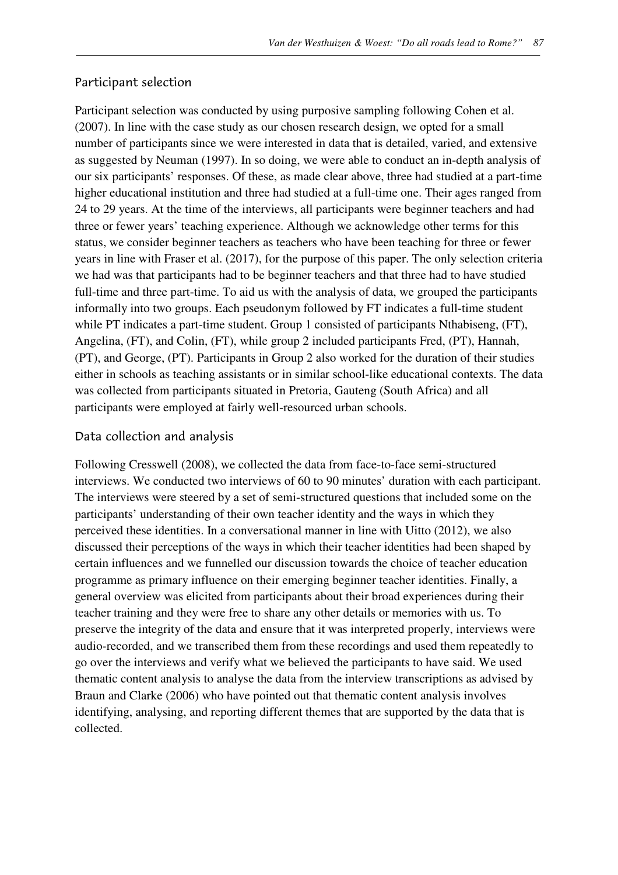#### Participant selection

Participant selection was conducted by using purposive sampling following Cohen et al. (2007). In line with the case study as our chosen research design, we opted for a small number of participants since we were interested in data that is detailed, varied, and extensive as suggested by Neuman (1997). In so doing, we were able to conduct an in-depth analysis of our six participants' responses. Of these, as made clear above, three had studied at a part-time higher educational institution and three had studied at a full-time one. Their ages ranged from 24 to 29 years. At the time of the interviews, all participants were beginner teachers and had three or fewer years' teaching experience. Although we acknowledge other terms for this status, we consider beginner teachers as teachers who have been teaching for three or fewer years in line with Fraser et al. (2017), for the purpose of this paper. The only selection criteria we had was that participants had to be beginner teachers and that three had to have studied full-time and three part-time. To aid us with the analysis of data, we grouped the participants informally into two groups. Each pseudonym followed by FT indicates a full-time student while PT indicates a part-time student. Group 1 consisted of participants Nthabiseng, (FT), Angelina, (FT), and Colin, (FT), while group 2 included participants Fred, (PT), Hannah, (PT), and George, (PT). Participants in Group 2 also worked for the duration of their studies either in schools as teaching assistants or in similar school-like educational contexts. The data was collected from participants situated in Pretoria, Gauteng (South Africa) and all participants were employed at fairly well-resourced urban schools.

#### Data collection and analysis

Following Cresswell (2008), we collected the data from face-to-face semi-structured interviews. We conducted two interviews of 60 to 90 minutes' duration with each participant. The interviews were steered by a set of semi-structured questions that included some on the participants' understanding of their own teacher identity and the ways in which they perceived these identities. In a conversational manner in line with Uitto (2012), we also discussed their perceptions of the ways in which their teacher identities had been shaped by certain influences and we funnelled our discussion towards the choice of teacher education programme as primary influence on their emerging beginner teacher identities. Finally, a general overview was elicited from participants about their broad experiences during their teacher training and they were free to share any other details or memories with us. To preserve the integrity of the data and ensure that it was interpreted properly, interviews were audio-recorded, and we transcribed them from these recordings and used them repeatedly to go over the interviews and verify what we believed the participants to have said. We used thematic content analysis to analyse the data from the interview transcriptions as advised by Braun and Clarke (2006) who have pointed out that thematic content analysis involves identifying, analysing, and reporting different themes that are supported by the data that is collected.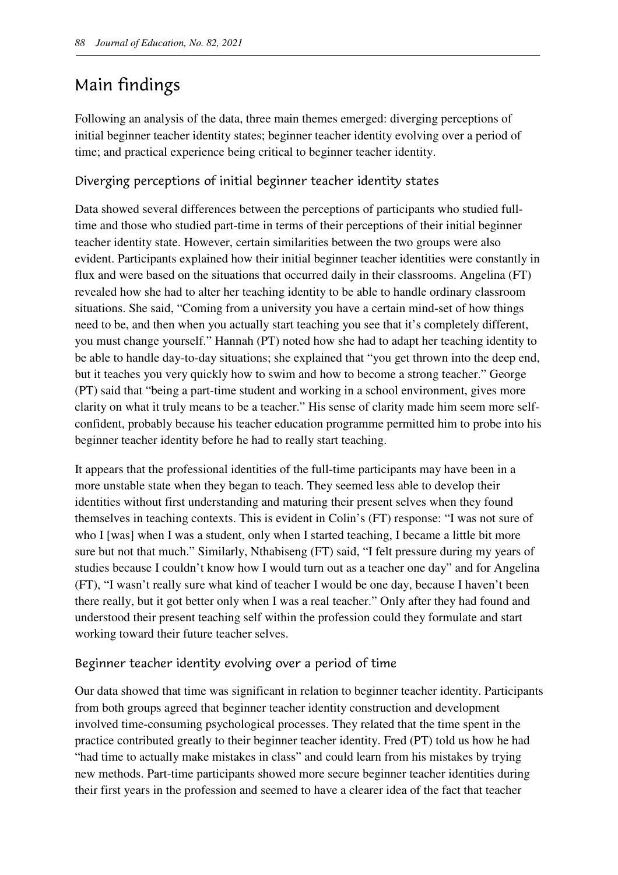## Main findings

Following an analysis of the data, three main themes emerged: diverging perceptions of initial beginner teacher identity states; beginner teacher identity evolving over a period of time; and practical experience being critical to beginner teacher identity.

#### Diverging perceptions of initial beginner teacher identity states

Data showed several differences between the perceptions of participants who studied fulltime and those who studied part-time in terms of their perceptions of their initial beginner teacher identity state. However, certain similarities between the two groups were also evident. Participants explained how their initial beginner teacher identities were constantly in flux and were based on the situations that occurred daily in their classrooms. Angelina (FT) revealed how she had to alter her teaching identity to be able to handle ordinary classroom situations. She said, "Coming from a university you have a certain mind-set of how things need to be, and then when you actually start teaching you see that it's completely different, you must change yourself." Hannah (PT) noted how she had to adapt her teaching identity to be able to handle day-to-day situations; she explained that "you get thrown into the deep end, but it teaches you very quickly how to swim and how to become a strong teacher." George (PT) said that "being a part-time student and working in a school environment, gives more clarity on what it truly means to be a teacher." His sense of clarity made him seem more selfconfident, probably because his teacher education programme permitted him to probe into his beginner teacher identity before he had to really start teaching.

It appears that the professional identities of the full-time participants may have been in a more unstable state when they began to teach. They seemed less able to develop their identities without first understanding and maturing their present selves when they found themselves in teaching contexts. This is evident in Colin's (FT) response: "I was not sure of who I [was] when I was a student, only when I started teaching, I became a little bit more sure but not that much." Similarly, Nthabiseng (FT) said, "I felt pressure during my years of studies because I couldn't know how I would turn out as a teacher one day" and for Angelina (FT), "I wasn't really sure what kind of teacher I would be one day, because I haven't been there really, but it got better only when I was a real teacher." Only after they had found and understood their present teaching self within the profession could they formulate and start working toward their future teacher selves.

#### Beginner teacher identity evolving over a period of time

Our data showed that time was significant in relation to beginner teacher identity. Participants from both groups agreed that beginner teacher identity construction and development involved time-consuming psychological processes. They related that the time spent in the practice contributed greatly to their beginner teacher identity. Fred (PT) told us how he had "had time to actually make mistakes in class" and could learn from his mistakes by trying new methods. Part-time participants showed more secure beginner teacher identities during their first years in the profession and seemed to have a clearer idea of the fact that teacher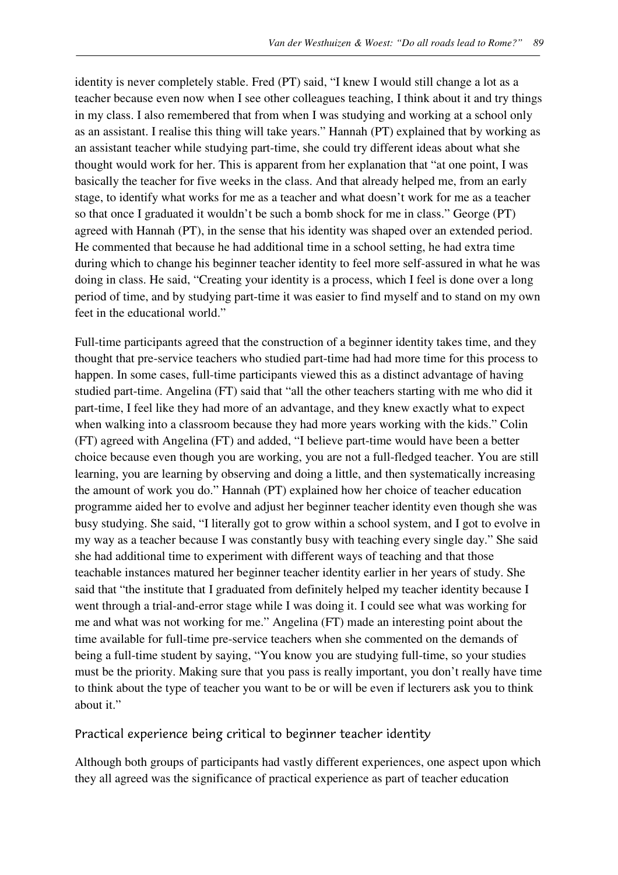identity is never completely stable. Fred (PT) said, "I knew I would still change a lot as a teacher because even now when I see other colleagues teaching, I think about it and try things in my class. I also remembered that from when I was studying and working at a school only as an assistant. I realise this thing will take years." Hannah (PT) explained that by working as an assistant teacher while studying part-time, she could try different ideas about what she thought would work for her. This is apparent from her explanation that "at one point, I was basically the teacher for five weeks in the class. And that already helped me, from an early stage, to identify what works for me as a teacher and what doesn't work for me as a teacher so that once I graduated it wouldn't be such a bomb shock for me in class." George (PT) agreed with Hannah (PT), in the sense that his identity was shaped over an extended period. He commented that because he had additional time in a school setting, he had extra time during which to change his beginner teacher identity to feel more self-assured in what he was doing in class. He said, "Creating your identity is a process, which I feel is done over a long period of time, and by studying part-time it was easier to find myself and to stand on my own feet in the educational world."

Full-time participants agreed that the construction of a beginner identity takes time, and they thought that pre-service teachers who studied part-time had had more time for this process to happen. In some cases, full-time participants viewed this as a distinct advantage of having studied part-time. Angelina (FT) said that "all the other teachers starting with me who did it part-time, I feel like they had more of an advantage, and they knew exactly what to expect when walking into a classroom because they had more years working with the kids." Colin (FT) agreed with Angelina (FT) and added, "I believe part-time would have been a better choice because even though you are working, you are not a full-fledged teacher. You are still learning, you are learning by observing and doing a little, and then systematically increasing the amount of work you do." Hannah (PT) explained how her choice of teacher education programme aided her to evolve and adjust her beginner teacher identity even though she was busy studying. She said, "I literally got to grow within a school system, and I got to evolve in my way as a teacher because I was constantly busy with teaching every single day." She said she had additional time to experiment with different ways of teaching and that those teachable instances matured her beginner teacher identity earlier in her years of study. She said that "the institute that I graduated from definitely helped my teacher identity because I went through a trial-and-error stage while I was doing it. I could see what was working for me and what was not working for me." Angelina (FT) made an interesting point about the time available for full-time pre-service teachers when she commented on the demands of being a full-time student by saying, "You know you are studying full-time, so your studies must be the priority. Making sure that you pass is really important, you don't really have time to think about the type of teacher you want to be or will be even if lecturers ask you to think about it."

#### Practical experience being critical to beginner teacher identity

Although both groups of participants had vastly different experiences, one aspect upon which they all agreed was the significance of practical experience as part of teacher education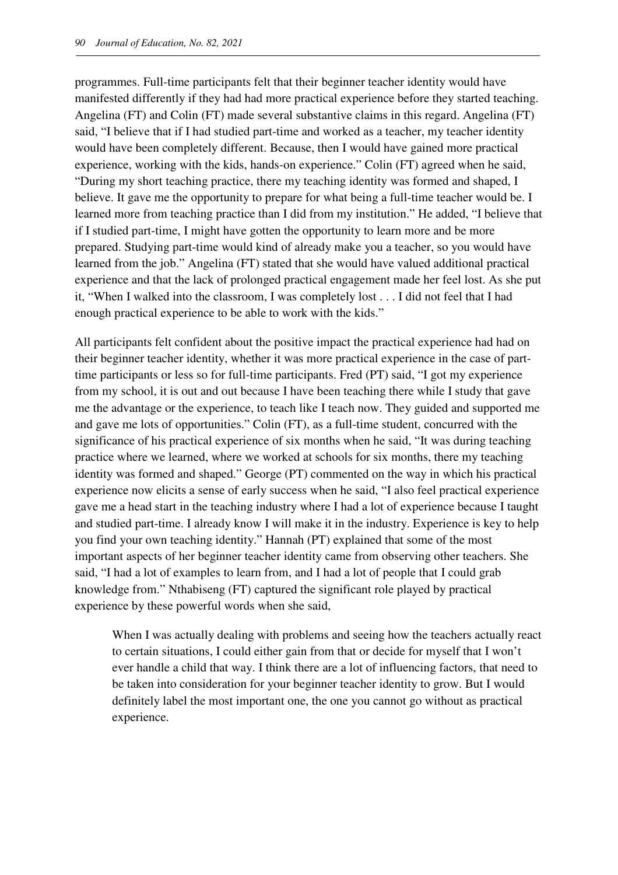programmes. Full-time participants felt that their beginner teacher identity would have manifested differently if they had had more practical experience before they started teaching. Angelina (FT) and Colin (FT) made several substantive claims in this regard. Angelina (FT) said, "I believe that if I had studied part-time and worked as a teacher, my teacher identity would have been completely different. Because, then I would have gained more practical experience, working with the kids, hands-on experience." Colin (FT) agreed when he said, "During my short teaching practice, there my teaching identity was formed and shaped, I believe. It gave me the opportunity to prepare for what being a full-time teacher would be. I learned more from teaching practice than I did from my institution." He added, "I believe that if I studied part-time, I might have gotten the opportunity to learn more and be more prepared. Studying part-time would kind of already make you a teacher, so you would have learned from the job." Angelina (FT) stated that she would have valued additional practical experience and that the lack of prolonged practical engagement made her feel lost. As she put it, "When I walked into the classroom, I was completely lost . . . I did not feel that I had enough practical experience to be able to work with the kids."

All participants felt confident about the positive impact the practical experience had had on their beginner teacher identity, whether it was more practical experience in the case of parttime participants or less so for full-time participants. Fred (PT) said, "I got my experience from my school, it is out and out because I have been teaching there while I study that gave me the advantage or the experience, to teach like I teach now. They guided and supported me and gave me lots of opportunities." Colin (FT), as a full-time student, concurred with the significance of his practical experience of six months when he said, "It was during teaching practice where we learned, where we worked at schools for six months, there my teaching identity was formed and shaped." George (PT) commented on the way in which his practical experience now elicits a sense of early success when he said, "I also feel practical experience gave me a head start in the teaching industry where I had a lot of experience because I taught and studied part-time. I already know I will make it in the industry. Experience is key to help you find your own teaching identity." Hannah (PT) explained that some of the most important aspects of her beginner teacher identity came from observing other teachers. She said, "I had a lot of examples to learn from, and I had a lot of people that I could grab knowledge from." Nthabiseng (FT) captured the significant role played by practical experience by these powerful words when she said,

When I was actually dealing with problems and seeing how the teachers actually react to certain situations, I could either gain from that or decide for myself that I won't ever handle a child that way. I think there are a lot of influencing factors, that need to be taken into consideration for your beginner teacher identity to grow. But I would definitely label the most important one, the one you cannot go without as practical experience.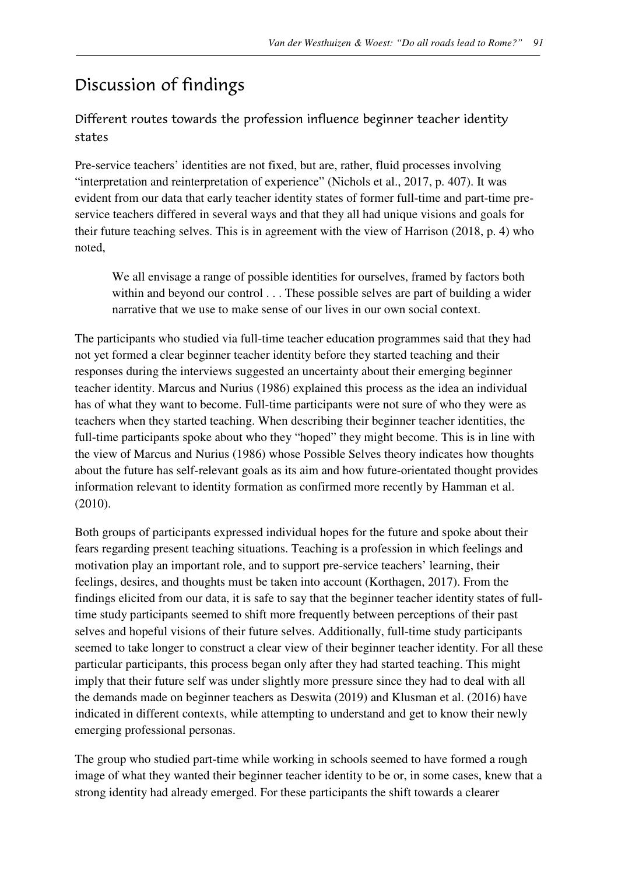## Discussion of findings

Different routes towards the profession influence beginner teacher identity states

Pre-service teachers' identities are not fixed, but are, rather, fluid processes involving "interpretation and reinterpretation of experience" (Nichols et al., 2017, p. 407). It was evident from our data that early teacher identity states of former full-time and part-time preservice teachers differed in several ways and that they all had unique visions and goals for their future teaching selves. This is in agreement with the view of Harrison (2018, p. 4) who noted,

We all envisage a range of possible identities for ourselves, framed by factors both within and beyond our control . . . These possible selves are part of building a wider narrative that we use to make sense of our lives in our own social context.

The participants who studied via full-time teacher education programmes said that they had not yet formed a clear beginner teacher identity before they started teaching and their responses during the interviews suggested an uncertainty about their emerging beginner teacher identity. Marcus and Nurius (1986) explained this process as the idea an individual has of what they want to become. Full-time participants were not sure of who they were as teachers when they started teaching. When describing their beginner teacher identities, the full-time participants spoke about who they "hoped" they might become. This is in line with the view of Marcus and Nurius (1986) whose Possible Selves theory indicates how thoughts about the future has self-relevant goals as its aim and how future-orientated thought provides information relevant to identity formation as confirmed more recently by Hamman et al. (2010).

Both groups of participants expressed individual hopes for the future and spoke about their fears regarding present teaching situations. Teaching is a profession in which feelings and motivation play an important role, and to support pre-service teachers' learning, their feelings, desires, and thoughts must be taken into account (Korthagen, 2017). From the findings elicited from our data, it is safe to say that the beginner teacher identity states of fulltime study participants seemed to shift more frequently between perceptions of their past selves and hopeful visions of their future selves. Additionally, full-time study participants seemed to take longer to construct a clear view of their beginner teacher identity. For all these particular participants, this process began only after they had started teaching. This might imply that their future self was under slightly more pressure since they had to deal with all the demands made on beginner teachers as Deswita (2019) and Klusman et al. (2016) have indicated in different contexts, while attempting to understand and get to know their newly emerging professional personas.

The group who studied part-time while working in schools seemed to have formed a rough image of what they wanted their beginner teacher identity to be or, in some cases, knew that a strong identity had already emerged. For these participants the shift towards a clearer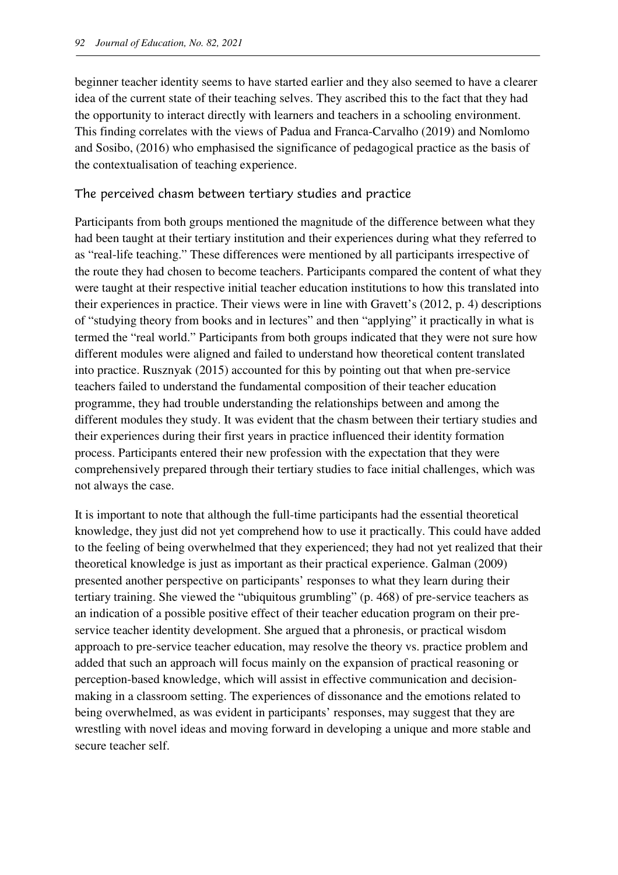beginner teacher identity seems to have started earlier and they also seemed to have a clearer idea of the current state of their teaching selves. They ascribed this to the fact that they had the opportunity to interact directly with learners and teachers in a schooling environment. This finding correlates with the views of Padua and Franca-Carvalho (2019) and Nomlomo and Sosibo, (2016) who emphasised the significance of pedagogical practice as the basis of the contextualisation of teaching experience.

#### The perceived chasm between tertiary studies and practice

Participants from both groups mentioned the magnitude of the difference between what they had been taught at their tertiary institution and their experiences during what they referred to as "real-life teaching." These differences were mentioned by all participants irrespective of the route they had chosen to become teachers. Participants compared the content of what they were taught at their respective initial teacher education institutions to how this translated into their experiences in practice. Their views were in line with Gravett's (2012, p. 4) descriptions of "studying theory from books and in lectures" and then "applying" it practically in what is termed the "real world." Participants from both groups indicated that they were not sure how different modules were aligned and failed to understand how theoretical content translated into practice. Rusznyak (2015) accounted for this by pointing out that when pre-service teachers failed to understand the fundamental composition of their teacher education programme, they had trouble understanding the relationships between and among the different modules they study. It was evident that the chasm between their tertiary studies and their experiences during their first years in practice influenced their identity formation process. Participants entered their new profession with the expectation that they were comprehensively prepared through their tertiary studies to face initial challenges, which was not always the case.

It is important to note that although the full-time participants had the essential theoretical knowledge, they just did not yet comprehend how to use it practically. This could have added to the feeling of being overwhelmed that they experienced; they had not yet realized that their theoretical knowledge is just as important as their practical experience. Galman (2009) presented another perspective on participants' responses to what they learn during their tertiary training. She viewed the "ubiquitous grumbling" (p. 468) of pre-service teachers as an indication of a possible positive effect of their teacher education program on their preservice teacher identity development. She argued that a phronesis, or practical wisdom approach to pre-service teacher education, may resolve the theory vs. practice problem and added that such an approach will focus mainly on the expansion of practical reasoning or perception-based knowledge, which will assist in effective communication and decisionmaking in a classroom setting. The experiences of dissonance and the emotions related to being overwhelmed, as was evident in participants' responses, may suggest that they are wrestling with novel ideas and moving forward in developing a unique and more stable and secure teacher self.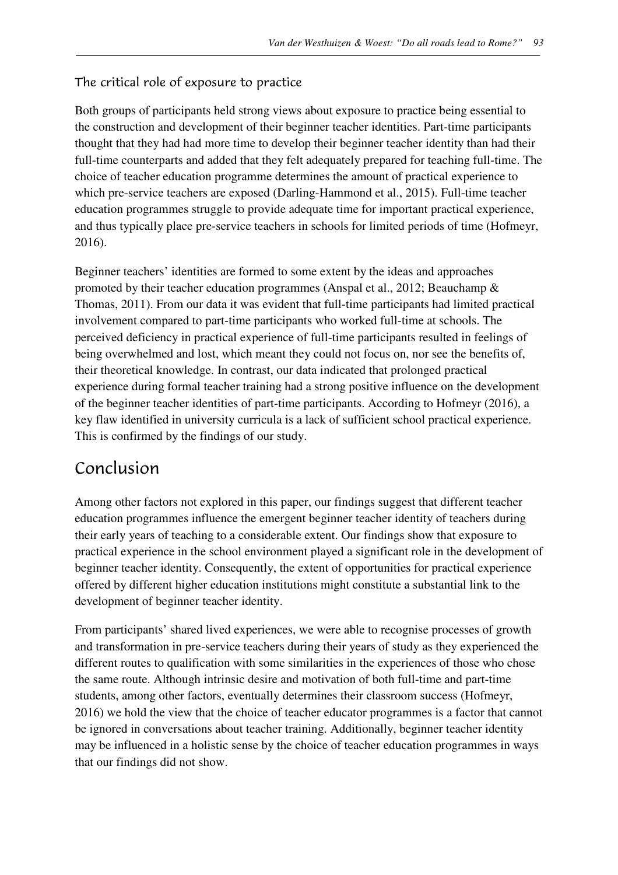#### The critical role of exposure to practice

Both groups of participants held strong views about exposure to practice being essential to the construction and development of their beginner teacher identities. Part-time participants thought that they had had more time to develop their beginner teacher identity than had their full-time counterparts and added that they felt adequately prepared for teaching full-time. The choice of teacher education programme determines the amount of practical experience to which pre-service teachers are exposed (Darling-Hammond et al., 2015). Full-time teacher education programmes struggle to provide adequate time for important practical experience, and thus typically place pre-service teachers in schools for limited periods of time (Hofmeyr, 2016).

Beginner teachers' identities are formed to some extent by the ideas and approaches promoted by their teacher education programmes (Anspal et al., 2012; Beauchamp & Thomas, 2011). From our data it was evident that full-time participants had limited practical involvement compared to part-time participants who worked full-time at schools. The perceived deficiency in practical experience of full-time participants resulted in feelings of being overwhelmed and lost, which meant they could not focus on, nor see the benefits of, their theoretical knowledge. In contrast, our data indicated that prolonged practical experience during formal teacher training had a strong positive influence on the development of the beginner teacher identities of part-time participants. According to Hofmeyr (2016), a key flaw identified in university curricula is a lack of sufficient school practical experience. This is confirmed by the findings of our study.

### Conclusion

Among other factors not explored in this paper, our findings suggest that different teacher education programmes influence the emergent beginner teacher identity of teachers during their early years of teaching to a considerable extent. Our findings show that exposure to practical experience in the school environment played a significant role in the development of beginner teacher identity. Consequently, the extent of opportunities for practical experience offered by different higher education institutions might constitute a substantial link to the development of beginner teacher identity.

From participants' shared lived experiences, we were able to recognise processes of growth and transformation in pre-service teachers during their years of study as they experienced the different routes to qualification with some similarities in the experiences of those who chose the same route. Although intrinsic desire and motivation of both full-time and part-time students, among other factors, eventually determines their classroom success (Hofmeyr, 2016) we hold the view that the choice of teacher educator programmes is a factor that cannot be ignored in conversations about teacher training. Additionally, beginner teacher identity may be influenced in a holistic sense by the choice of teacher education programmes in ways that our findings did not show.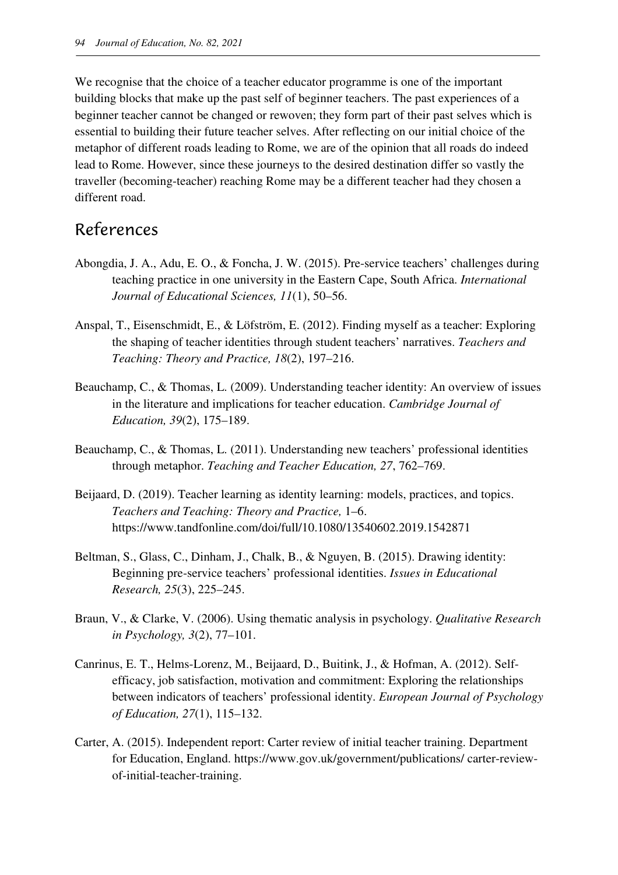We recognise that the choice of a teacher educator programme is one of the important building blocks that make up the past self of beginner teachers. The past experiences of a beginner teacher cannot be changed or rewoven; they form part of their past selves which is essential to building their future teacher selves. After reflecting on our initial choice of the metaphor of different roads leading to Rome, we are of the opinion that all roads do indeed lead to Rome. However, since these journeys to the desired destination differ so vastly the traveller (becoming-teacher) reaching Rome may be a different teacher had they chosen a different road.

### References

- Abongdia, J. A., Adu, E. O., & Foncha, J. W. (2015). Pre-service teachers' challenges during teaching practice in one university in the Eastern Cape, South Africa. *International Journal of Educational Sciences, 11*(1), 50–56.
- Anspal, T., Eisenschmidt, E., & Löfström, E. (2012). Finding myself as a teacher: Exploring the shaping of teacher identities through student teachers' narratives. *Teachers and Teaching: Theory and Practice, 18*(2), 197–216.
- Beauchamp, C., & Thomas, L. (2009). Understanding teacher identity: An overview of issues in the literature and implications for teacher education. *Cambridge Journal of Education, 39*(2), 175–189.
- Beauchamp, C., & Thomas, L. (2011). Understanding new teachers' professional identities through metaphor. *Teaching and Teacher Education, 27*, 762–769.
- Beijaard, D. (2019). Teacher learning as identity learning: models, practices, and topics. *Teachers and Teaching: Theory and Practice,* 1–6. https://www.tandfonline.com/doi/full/10.1080/13540602.2019.1542871
- Beltman, S., Glass, C., Dinham, J., Chalk, B., & Nguyen, B. (2015). Drawing identity: Beginning pre-service teachers' professional identities. *Issues in Educational Research, 25*(3), 225–245.
- Braun, V., & Clarke, V. (2006). Using thematic analysis in psychology. *Qualitative Research in Psychology, 3*(2), 77–101.
- Canrinus, E. T., Helms-Lorenz, M., Beijaard, D., Buitink, J., & Hofman, A. (2012). Selfefficacy, job satisfaction, motivation and commitment: Exploring the relationships between indicators of teachers' professional identity. *European Journal of Psychology of Education, 27*(1), 115–132.
- Carter, A. (2015). Independent report: Carter review of initial teacher training. Department for Education, England. https://www.gov.uk/government/publications/ carter-reviewof-initial-teacher-training.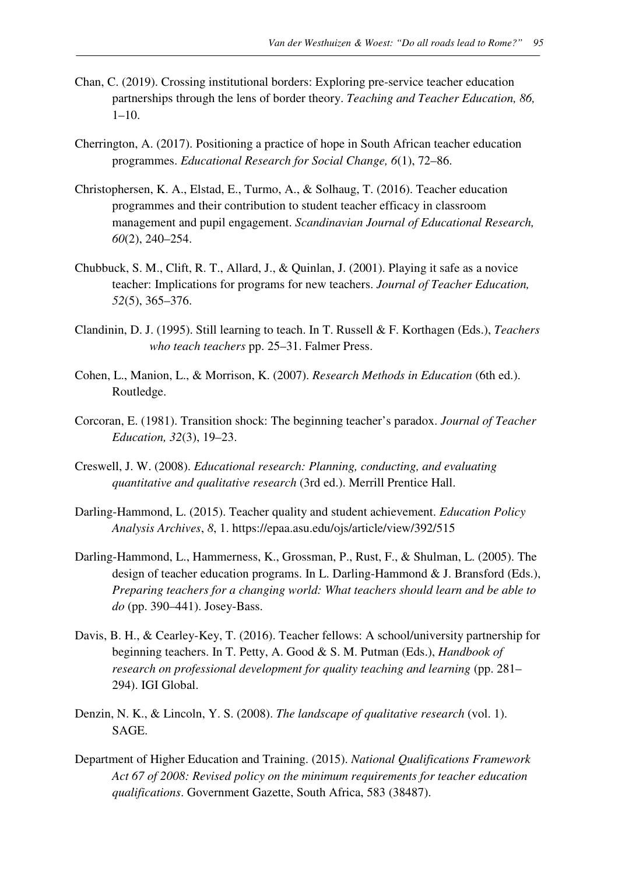- Chan, C. (2019). Crossing institutional borders: Exploring pre-service teacher education partnerships through the lens of border theory. *Teaching and Teacher Education, 86,* 1–10.
- Cherrington, A. (2017). Positioning a practice of hope in South African teacher education programmes. *Educational Research for Social Change, 6*(1), 72–86.
- Christophersen, K. A., Elstad, E., Turmo, A., & Solhaug, T. (2016). Teacher education programmes and their contribution to student teacher efficacy in classroom management and pupil engagement. *Scandinavian Journal of Educational Research, 60*(2), 240–254.
- Chubbuck, S. M., Clift, R. T., Allard, J., & Quinlan, J. (2001). Playing it safe as a novice teacher: Implications for programs for new teachers. *Journal of Teacher Education, 52*(5), 365–376.
- Clandinin, D. J. (1995). Still learning to teach. In T. Russell & F. Korthagen (Eds.), *Teachers who teach teachers* pp. 25–31. Falmer Press.
- Cohen, L., Manion, L., & Morrison, K. (2007). *Research Methods in Education* (6th ed.). Routledge.
- Corcoran, E. (1981). Transition shock: The beginning teacher's paradox. *Journal of Teacher Education, 32*(3), 19–23.
- Creswell, J. W. (2008). *Educational research: Planning, conducting, and evaluating quantitative and qualitative research* (3rd ed.). Merrill Prentice Hall.
- Darling-Hammond, L. (2015). Teacher quality and student achievement. *Education Policy Analysis Archives*, *8*, 1. https://epaa.asu.edu/ojs/article/view/392/515
- Darling-Hammond, L., Hammerness, K., Grossman, P., Rust, F., & Shulman, L. (2005). The design of teacher education programs. In L. Darling-Hammond & J. Bransford (Eds.), *Preparing teachers for a changing world: What teachers should learn and be able to do* (pp. 390–441). Josey-Bass.
- Davis, B. H., & Cearley-Key, T. (2016). Teacher fellows: A school/university partnership for beginning teachers. In T. Petty, A. Good & S. M. Putman (Eds.), *Handbook of research on professional development for quality teaching and learning* (pp. 281– 294). IGI Global.
- Denzin, N. K., & Lincoln, Y. S. (2008). *The landscape of qualitative research* (vol. 1). SAGE.
- Department of Higher Education and Training. (2015). *National Qualifications Framework Act 67 of 2008: Revised policy on the minimum requirements for teacher education qualifications*. Government Gazette, South Africa, 583 (38487).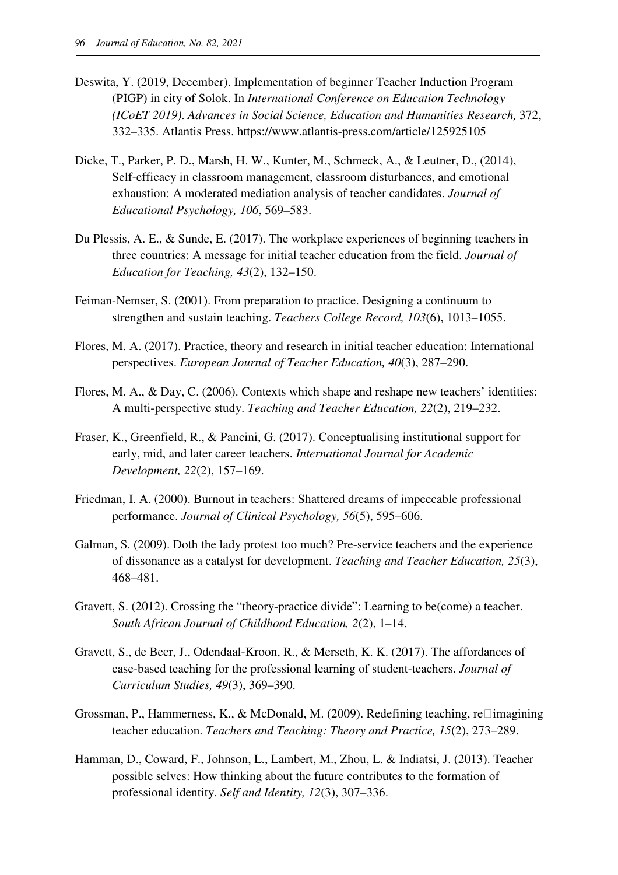- Deswita, Y. (2019, December). Implementation of beginner Teacher Induction Program (PIGP) in city of Solok. In *International Conference on Education Technology (ICoET 2019)*. *Advances in Social Science, Education and Humanities Research,* 372, 332–335. Atlantis Press. https://www.atlantis-press.com/article/125925105
- Dicke, T., Parker, P. D., Marsh, H. W., Kunter, M., Schmeck, A., & Leutner, D., (2014), Self-efficacy in classroom management, classroom disturbances, and emotional exhaustion: A moderated mediation analysis of teacher candidates. *Journal of Educational Psychology, 106*, 569–583.
- Du Plessis, A. E., & Sunde, E. (2017). The workplace experiences of beginning teachers in three countries: A message for initial teacher education from the field. *Journal of Education for Teaching, 43*(2), 132–150.
- Feiman-Nemser, S. (2001). From preparation to practice. Designing a continuum to strengthen and sustain teaching. *Teachers College Record, 103*(6), 1013–1055.
- Flores, M. A. (2017). Practice, theory and research in initial teacher education: International perspectives. *European Journal of Teacher Education, 40*(3), 287–290.
- Flores, M. A., & Day, C. (2006). Contexts which shape and reshape new teachers' identities: A multi-perspective study. *Teaching and Teacher Education, 22*(2), 219–232.
- Fraser, K., Greenfield, R., & Pancini, G. (2017). Conceptualising institutional support for early, mid, and later career teachers. *International Journal for Academic Development, 22*(2), 157–169.
- Friedman, I. A. (2000). Burnout in teachers: Shattered dreams of impeccable professional performance. *Journal of Clinical Psychology, 56*(5), 595–606.
- Galman, S. (2009). Doth the lady protest too much? Pre-service teachers and the experience of dissonance as a catalyst for development. *Teaching and Teacher Education, 25*(3), 468–481.
- Gravett, S. (2012). Crossing the "theory-practice divide": Learning to be(come) a teacher. *South African Journal of Childhood Education, 2*(2), 1–14.
- Gravett, S., de Beer, J., Odendaal-Kroon, R., & Merseth, K. K. (2017). The affordances of case-based teaching for the professional learning of student-teachers. *Journal of Curriculum Studies, 49*(3), 369–390.
- Grossman, P., Hammerness, K., & McDonald, M. (2009). Redefining teaching, re imagining teacher education. *Teachers and Teaching: Theory and Practice, 15*(2), 273–289.
- Hamman, D., Coward, F., Johnson, L., Lambert, M., Zhou, L. & Indiatsi, J. (2013). Teacher possible selves: How thinking about the future contributes to the formation of professional identity. *Self and Identity, 12*(3), 307–336.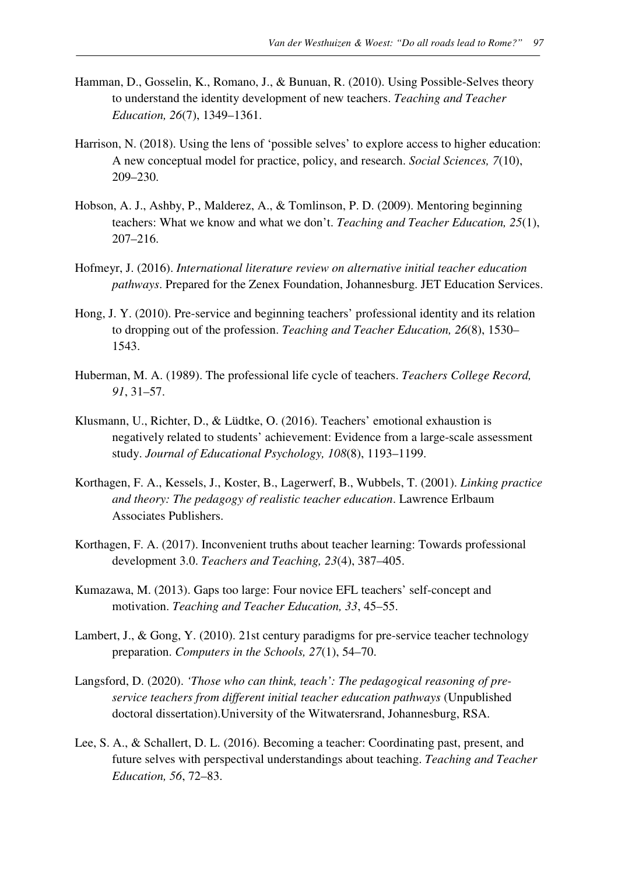- Hamman, D., Gosselin, K., Romano, J., & Bunuan, R. (2010). Using Possible-Selves theory to understand the identity development of new teachers. *Teaching and Teacher Education, 26*(7), 1349–1361.
- Harrison, N. (2018). Using the lens of 'possible selves' to explore access to higher education: A new conceptual model for practice, policy, and research. *Social Sciences, 7*(10), 209–230.
- Hobson, A. J., Ashby, P., Malderez, A., & Tomlinson, P. D. (2009). Mentoring beginning teachers: What we know and what we don't. *Teaching and Teacher Education, 25*(1), 207–216.
- Hofmeyr, J. (2016). *International literature review on alternative initial teacher education pathways*. Prepared for the Zenex Foundation, Johannesburg. JET Education Services.
- Hong, J. Y. (2010). Pre-service and beginning teachers' professional identity and its relation to dropping out of the profession. *Teaching and Teacher Education, 26*(8), 1530– 1543.
- Huberman, M. A. (1989). The professional life cycle of teachers. *Teachers College Record, 91*, 31–57.
- Klusmann, U., Richter, D., & Lüdtke, O. (2016). Teachers' emotional exhaustion is negatively related to students' achievement: Evidence from a large-scale assessment study. *Journal of Educational Psychology, 108*(8), 1193–1199.
- Korthagen, F. A., Kessels, J., Koster, B., Lagerwerf, B., Wubbels, T. (2001). *Linking practice and theory: The pedagogy of realistic teacher education*. Lawrence Erlbaum Associates Publishers.
- Korthagen, F. A. (2017). Inconvenient truths about teacher learning: Towards professional development 3.0. *Teachers and Teaching, 23*(4), 387–405.
- Kumazawa, M. (2013). Gaps too large: Four novice EFL teachers' self-concept and motivation. *Teaching and Teacher Education, 33*, 45–55.
- Lambert, J., & Gong, Y. (2010). 21st century paradigms for pre-service teacher technology preparation. *Computers in the Schools, 27*(1), 54–70.
- Langsford, D. (2020). *'Those who can think, teach': The pedagogical reasoning of preservice teachers from different initial teacher education pathways* (Unpublished doctoral dissertation).University of the Witwatersrand, Johannesburg, RSA.
- Lee, S. A., & Schallert, D. L. (2016). Becoming a teacher: Coordinating past, present, and future selves with perspectival understandings about teaching. *Teaching and Teacher Education, 56*, 72–83.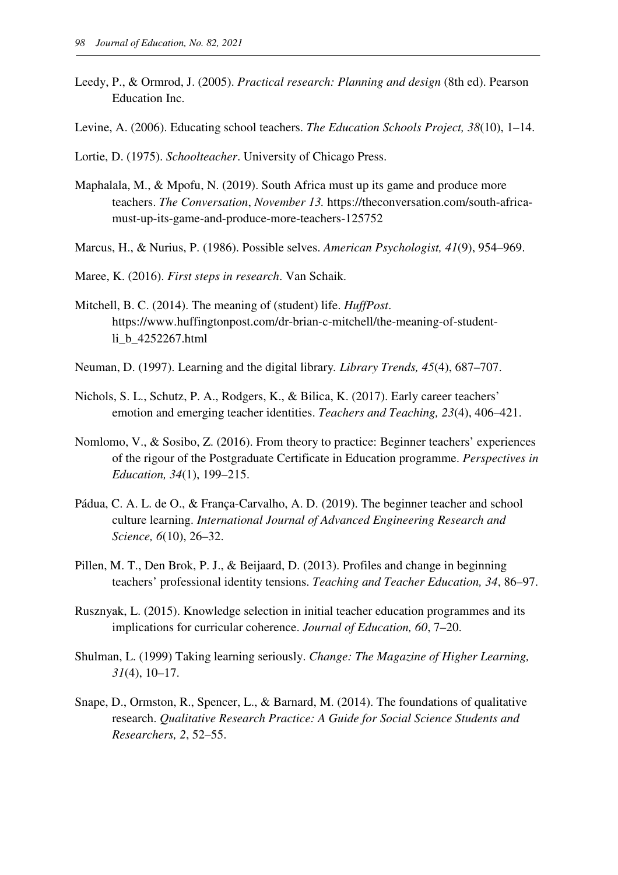- Leedy, P., & Ormrod, J. (2005). *Practical research: Planning and design* (8th ed). Pearson Education Inc.
- Levine, A. (2006). Educating school teachers. *The Education Schools Project, 38*(10), 1–14.
- Lortie, D. (1975). *Schoolteacher*. University of Chicago Press.
- Maphalala, M., & Mpofu, N. (2019). South Africa must up its game and produce more teachers. *The Conversation*, *November 13.* https://theconversation.com/south-africamust-up-its-game-and-produce-more-teachers-125752
- Marcus, H., & Nurius, P. (1986). Possible selves. *American Psychologist, 41*(9), 954–969.
- Maree, K. (2016). *First steps in research*. Van Schaik.
- Mitchell, B. C. (2014). The meaning of (student) life. *HuffPost*. https://www.huffingtonpost.com/dr-brian-c-mitchell/the-meaning-of-studentli\_b\_4252267.html
- Neuman, D. (1997). Learning and the digital library*. Library Trends, 45*(4), 687–707.
- Nichols, S. L., Schutz, P. A., Rodgers, K., & Bilica, K. (2017). Early career teachers' emotion and emerging teacher identities. *Teachers and Teaching, 23*(4), 406–421.
- Nomlomo, V., & Sosibo, Z. (2016). From theory to practice: Beginner teachers' experiences of the rigour of the Postgraduate Certificate in Education programme. *Perspectives in Education, 34*(1), 199–215.
- Pádua, C. A. L. de O., & França-Carvalho, A. D. (2019). The beginner teacher and school culture learning. *International Journal of Advanced Engineering Research and Science, 6*(10), 26–32.
- Pillen, M. T., Den Brok, P. J., & Beijaard, D. (2013). Profiles and change in beginning teachers' professional identity tensions. *Teaching and Teacher Education, 34*, 86–97.
- Rusznyak, L. (2015). Knowledge selection in initial teacher education programmes and its implications for curricular coherence. *Journal of Education, 60*, 7–20.
- Shulman, L. (1999) Taking learning seriously. *Change: The Magazine of Higher Learning, 31*(4), 10–17.
- Snape, D., Ormston, R., Spencer, L., & Barnard, M. (2014). The foundations of qualitative research. *Qualitative Research Practice: A Guide for Social Science Students and Researchers, 2*, 52–55.